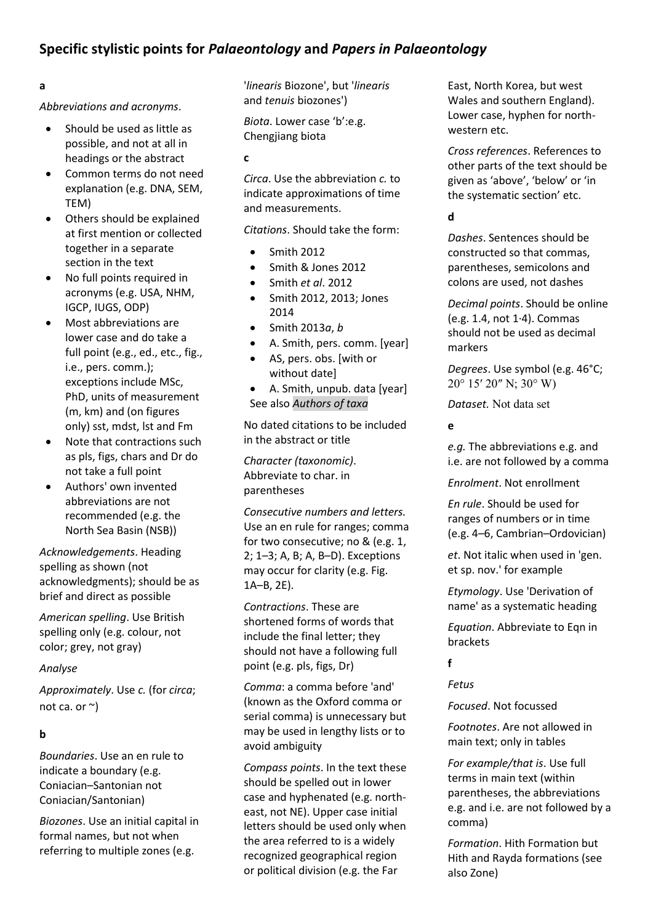# **Specific stylistic points for** *Palaeontology* **and** *Papers in Palaeontology*

# **a**

*Abbreviations and acronyms*.

- Should be used as little as possible, and not at all in headings or the abstract
- Common terms do not need explanation (e.g. DNA, SEM, TEM)
- Others should be explained at first mention or collected together in a separate section in the text
- No full points required in acronyms (e.g. USA, NHM, IGCP, IUGS, ODP)
- Most abbreviations are lower case and do take a full point (e.g., ed., etc., fig., i.e., pers. comm.); exceptions include MSc, PhD, units of measurement (m, km) and (on figures only) sst, mdst, lst and Fm
- Note that contractions such as pls, figs, chars and Dr do not take a full point
- Authors' own invented abbreviations are not recommended (e.g. the North Sea Basin (NSB))

*Acknowledgements*. Heading spelling as shown (not acknowledgments); should be as brief and direct as possible

*American spelling*. Use British spelling only (e.g. colour, not color; grey, not gray)

### *Analyse*

*Approximately*. Use *c.* (for *circa*; not ca. or ~)

# **b**

*Boundaries*. Use an en rule to indicate a boundary (e.g. Coniacian–Santonian not Coniacian/Santonian)

*Biozones*. Use an initial capital in formal names, but not when referring to multiple zones (e.g.

'*linearis* Biozone', but '*linearis*  and *tenuis* biozones')

*Biota*. Lower case 'b':e.g. Chengjiang biota

**c**

*Circa*. Use the abbreviation *c.* to indicate approximations of time and measurements.

*Citations*. Should take the form:

- Smith 2012
- Smith & Jones 2012
- Smith *et al*. 2012
- Smith 2012, 2013; Jones 2014
- Smith 2013*a*, *b*
- A. Smith, pers. comm. [year]
- AS, pers. obs. [with or without date]
- A. Smith, unpub. data [year] See also *Authors of taxa*

No dated citations to be included in the abstract or title

*Character (taxonomic)*. Abbreviate to char. in parentheses

*Consecutive numbers and letters.*  Use an en rule for ranges; comma for two consecutive; no & (e.g. 1, 2; 1–3; A, B; A, B–D). Exceptions may occur for clarity (e.g. Fig. 1A–B, 2E).

*Contractions*. These are shortened forms of words that include the final letter; they should not have a following full point (e.g. pls, figs, Dr)

*Comma*: a comma before 'and' (known as the Oxford comma or serial comma) is unnecessary but may be used in lengthy lists or to avoid ambiguity

*Compass points*. In the text these should be spelled out in lower case and hyphenated (e.g. northeast, not NE). Upper case initial letters should be used only when the area referred to is a widely recognized geographical region or political division (e.g. the Far

East, North Korea, but west Wales and southern England). Lower case, hyphen for northwestern etc.

*Cross references*. References to other parts of the text should be given as 'above', 'below' or 'in the systematic section' etc.

# **d**

*Dashes*. Sentences should be constructed so that commas, parentheses, semicolons and colons are used, not dashes

*Decimal points*. Should be online (e.g. 1.4, not 1·4). Commas should not be used as decimal markers

*Degrees*. Use symbol (e.g. 46°C; 20° 15′ 20″ N; 30° W)

*Dataset.* Not data set

# **e**

*e.g.* The abbreviations e.g. and i.e. are not followed by a comma

*Enrolment*. Not enrollment

*En rule*. Should be used for ranges of numbers or in time (e.g. 4–6, Cambrian–Ordovician)

*et*. Not italic when used in 'gen. et sp. nov.' for example

*Etymology*. Use 'Derivation of name' as a systematic heading

*Equation*. Abbreviate to Eqn in brackets

**f**

*Fetus*

*Focused*. Not focussed

*Footnotes*. Are not allowed in main text; only in tables

*For example/that is*. Use full terms in main text (within parentheses, the abbreviations e.g. and i.e. are not followed by a comma)

*Formation*. Hith Formation but Hith and Rayda formations (see also Zone)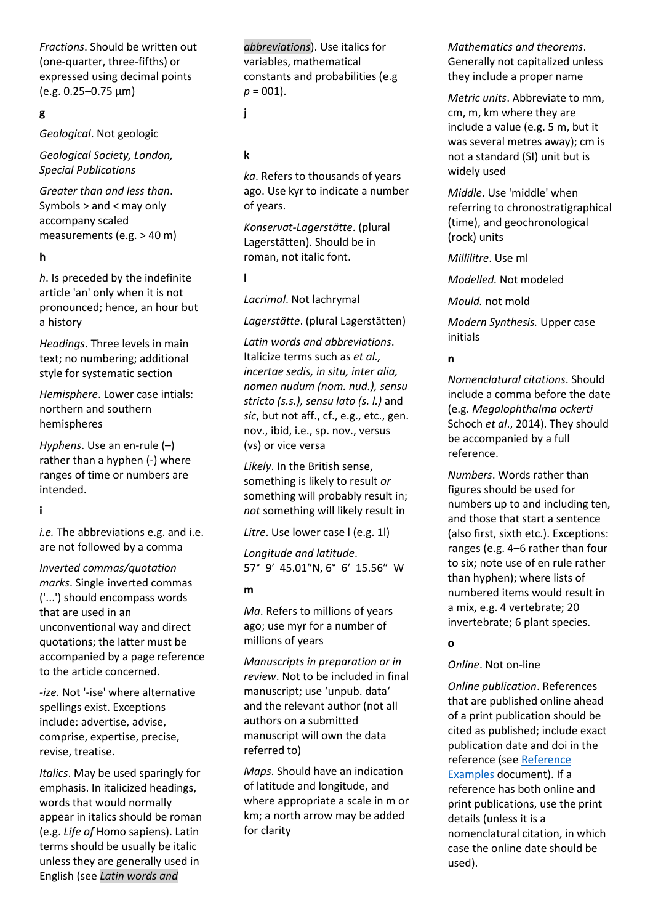*Fractions*. Should be written out (one-quarter, three-fifths) or expressed using decimal points (e.g. 0.25–0.75 μm)

# **g**

*Geological*. Not geologic

*Geological Society, London, Special Publications*

*Greater than and less than*. Symbols > and < may only accompany scaled measurements (e.g. > 40 m)

### **h**

*h*. Is preceded by the indefinite article 'an' only when it is not pronounced; hence, an hour but a history

*Headings*. Three levels in main text; no numbering; additional style for systematic section

*Hemisphere*. Lower case intials: northern and southern hemispheres

*Hyphens*. Use an en-rule (–) rather than a hyphen (-) where ranges of time or numbers are intended.

### **i**

*i.e.* The abbreviations e.g. and i.e. are not followed by a comma

*Inverted commas/quotation marks*. Single inverted commas ('...') should encompass words that are used in an unconventional way and direct quotations; the latter must be accompanied by a page reference to the article concerned.

*-ize*. Not '-ise' where alternative spellings exist. Exceptions include: advertise, advise, comprise, expertise, precise, revise, treatise.

*Italics*. May be used sparingly for emphasis. In italicized headings, words that would normally appear in italics should be roman (e.g. *Life of* Homo sapiens). Latin terms should be usually be italic unless they are generally used in English (see *Latin words and* 

*abbreviations*). Use italics for variables, mathematical constants and probabilities (e.g  $p = 001$ ).

**j**

# **k**

*ka*. Refers to thousands of years ago. Use kyr to indicate a number of years.

*Konservat-Lagerstätte*. (plural Lagerstätten). Should be in roman, not italic font.

**l**

*Lacrimal*. Not lachrymal

*Lagerstätte*. (plural Lagerstätten)

*Latin words and abbreviations*. Italicize terms such as *et al., incertae sedis, in situ, inter alia, nomen nudum (nom. nud.), sensu stricto (s.s.), sensu lato (s. l.)* and *sic*, but not aff., cf., e.g., etc., gen. nov., ibid, i.e., sp. nov., versus (vs) or vice versa

*Likely*. In the British sense, something is likely to result *or* something will probably result in; *not* something will likely result in

*Litre*. Use lower case l (e.g. 1l)

*Longitude and latitude*. 57° 9′ 45.01″N, 6° 6′ 15.56″ W

#### **m**

*Ma*. Refers to millions of years ago; use myr for a number of millions of years

*Manuscripts in preparation or in review*. Not to be included in final manuscript; use 'unpub. data' and the relevant author (not all authors on a submitted manuscript will own the data referred to)

*Maps*. Should have an indication of latitude and longitude, and where appropriate a scale in m or km; a north arrow may be added for clarity

*Mathematics and theorems*. Generally not capitalized unless they include a proper name

*Metric units*. Abbreviate to mm, cm, m, km where they are include a value (e.g. 5 m, but it was several metres away); cm is not a standard (SI) unit but is widely used

*Middle*. Use 'middle' when referring to chronostratigraphical (time), and geochronological (rock) units

*Millilitre*. Use ml

*Modelled.* Not modeled

*Mould.* not mold

*Modern Synthesis.* Upper case initials

### **n**

*Nomenclatural citations*. Should include a comma before the date (e.g. *Megalophthalma ockerti* Schoch *et al*., 2014). They should be accompanied by a full reference.

*Numbers*. Words rather than figures should be used for numbers up to and including ten, and those that start a sentence (also first, sixth etc.). Exceptions: ranges (e.g. 4–6 rather than four to six; note use of en rule rather than hyphen); where lists of numbered items would result in a mix, e.g. 4 vertebrate; 20 invertebrate; 6 plant species.

### **o**

### *Online*. Not on-line

*Online publication*. References that are published online ahead of a print publication should be cited as published; include exact publication date and doi in the reference (see [Reference](https://www.palass.org/publications/palaeontology-journal#for-authors)  [Examples](https://www.palass.org/publications/palaeontology-journal#for-authors) document). If a reference has both online and print publications, use the print details (unless it is a nomenclatural citation, in which case the online date should be used).